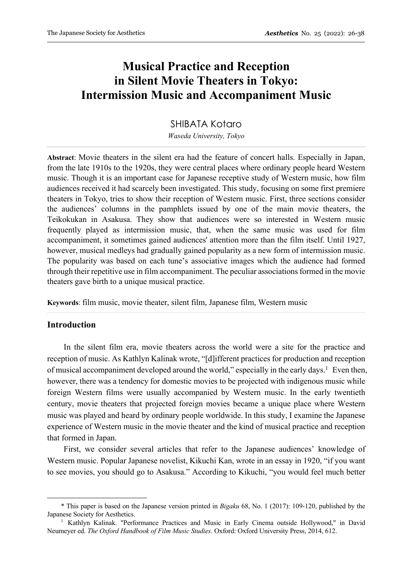# **Musical Practice and Reception in Silent Movie Theaters in Tokyo: Intermission Music and Accompaniment Music**

# SHIBATA Kotaro

*Waseda University, Tokyo*

**Abstract**: Movie theaters in the silent era had the feature of concert halls. Especially in Japan, from the late 1910s to the 1920s, they were central places where ordinary people heard Western music. Though it is an important case for Japanese receptive study of Western music, how film audiences received it had scarcely been investigated. This study, focusing on some first premiere theaters in Tokyo, tries to show their reception of Western music. First, three sections consider the audiences' columns in the pamphlets issued by one of the main movie theaters, the Teikokukan in Asakusa. They show that audiences were so interested in Western music frequently played as intermission music, that, when the same music was used for film accompaniment, it sometimes gained audiences' attention more than the film itself. Until 1927, however, musical medleys had gradually gained popularity as a new form of intermission music. The popularity was based on each tune's associative images which the audience had formed through their repetitive use in film accompaniment. The peculiar associations formed in the movie theaters gave birth to a unique musical practice.

**Keywords**: film music, movie theater, silent film, Japanese film, Western music

## **Introduction**

 In the silent film era, movie theaters across the world were a site for the practice and reception of music. As Kathlyn Kalinak wrote, "[d]ifferent practices for production and reception of musical accompaniment developed around the world," especially in the early days.<sup>1</sup> Even then, however, there was a tendency for domestic movies to be projected with indigenous music while foreign Western films were usually accompanied by Western music. In the early twentieth century, movie theaters that projected foreign movies became a unique place where Western music was played and heard by ordinary people worldwide. In this study, I examine the Japanese experience of Western music in the movie theater and the kind of musical practice and reception that formed in Japan.

 First, we consider several articles that refer to the Japanese audiences' knowledge of Western music. Popular Japanese novelist, Kikuchi Kan, wrote in an essay in 1920, "if you want to see movies, you should go to Asakusa." According to Kikuchi, "you would feel much better

<sup>\*</sup> This paper is based on the Japanese version printed in *Bigaku* 68, No. 1 (2017): 109-120, published by the Japanese Society for Aesthetics.

<sup>1</sup> Kathlyn Kalinak. "Performance Practices and Music in Early Cinema outside Hollywood," in David Neumeyer ed. *The Oxford Handbook of Film Music Studies*. Oxford: Oxford University Press, 2014, 612.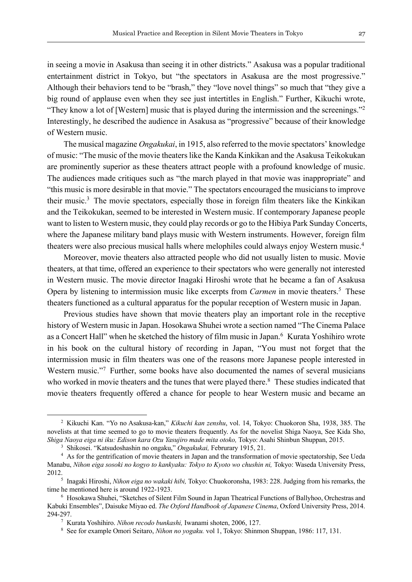in seeing a movie in Asakusa than seeing it in other districts." Asakusa was a popular traditional entertainment district in Tokyo, but "the spectators in Asakusa are the most progressive." Although their behaviors tend to be "brash," they "love novel things" so much that "they give a big round of applause even when they see just intertitles in English." Further, Kikuchi wrote, "They know a lot of [Western] music that is played during the intermission and the screenings."2 Interestingly, he described the audience in Asakusa as "progressive" because of their knowledge of Western music.

 The musical magazine *Ongakukai*, in 1915, also referred to the movie spectators' knowledge of music: "The music of the movie theaters like the Kanda Kinkikan and the Asakusa Teikokukan are prominently superior as these theaters attract people with a profound knowledge of music. The audiences made critiques such as "the march played in that movie was inappropriate" and "this music is more desirable in that movie." The spectators encouraged the musicians to improve their music.3 The movie spectators, especially those in foreign film theaters like the Kinkikan and the Teikokukan, seemed to be interested in Western music. If contemporary Japanese people want to listen to Western music, they could play records or go to the Hibiya Park Sunday Concerts, where the Japanese military band plays music with Western instruments. However, foreign film theaters were also precious musical halls where melophiles could always enjoy Western music.4

 Moreover, movie theaters also attracted people who did not usually listen to music. Movie theaters, at that time, offered an experience to their spectators who were generally not interested in Western music. The movie director Inagaki Hiroshi wrote that he became a fan of Asakusa Opera by listening to intermission music like excerpts from *Carmen* in movie theaters. <sup>5</sup> These theaters functioned as a cultural apparatus for the popular reception of Western music in Japan.

 Previous studies have shown that movie theaters play an important role in the receptive history of Western music in Japan. Hosokawa Shuhei wrote a section named "The Cinema Palace as a Concert Hall" when he sketched the history of film music in Japan.<sup>6</sup> Kurata Yoshihiro wrote in his book on the cultural history of recording in Japan, "You must not forget that the intermission music in film theaters was one of the reasons more Japanese people interested in Western music."<sup>7</sup> Further, some books have also documented the names of several musicians who worked in movie theaters and the tunes that were played there.<sup>8</sup> These studies indicated that movie theaters frequently offered a chance for people to hear Western music and became an

<sup>2</sup> Kikuchi Kan. "Yo no Asakusa-kan," *Kikuchi kan zenshu*, vol. 14, Tokyo: Chuokoron Sha, 1938, 385. The novelists at that time seemed to go to movie theaters frequently. As for the novelist Shiga Naoya, See Kida Sho, *Shiga Naoya eiga ni iku: Edison kara Ozu Yasujiro made mita otoko,* Tokyo: Asahi Shinbun Shuppan, 2015. 3 Shikosei. "Katsudoshashin no ongaku," *Ongakukai,* Februrary 1915, 21.

<sup>&</sup>lt;sup>4</sup> As for the gentrification of movie theaters in Japan and the transformation of movie spectatorship, See Ueda Manabu, *Nihon eiga sosoki no kogyo to kankyaku: Tokyo to Kyoto wo chushin ni,* Tokyo: Waseda University Press, 2012.5 Inagaki Hiroshi, *Nihon eiga no wakaki hibi,* Tokyo: Chuokoronsha, 1983: 228. Judging from his remarks, the

time he mentioned here is around 1922-1923.<br><sup>6</sup> Hosokawa Shuhei, "Sketches of Silent Film Sound in Japan Theatrical Functions of Ballyhoo, Orchestras and

Kabuki Ensembles", Daisuke Miyao ed. *The Oxford Handbook of Japanese Cinema*, Oxford University Press, 2014. 294-297.

<sup>7</sup> Kurata Yoshihiro. *Nihon recodo bunkashi,* Iwanami shoten, 2006, 127.

<sup>8</sup> See for example Omori Seitaro, *Nihon no yogaku.* vol 1, Tokyo: Shinmon Shuppan, 1986: 117, 131.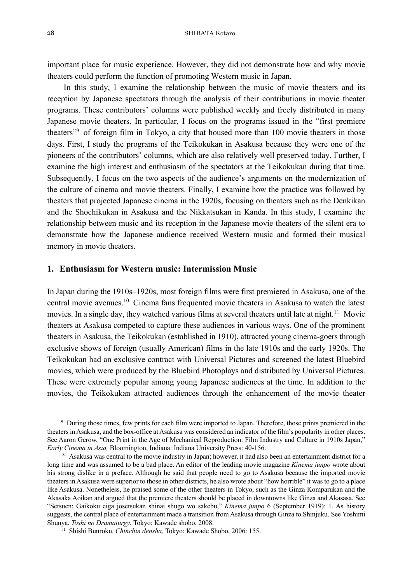important place for music experience. However, they did not demonstrate how and why movie theaters could perform the function of promoting Western music in Japan.

 In this study, I examine the relationship between the music of movie theaters and its reception by Japanese spectators through the analysis of their contributions in movie theater programs. These contributors' columns were published weekly and freely distributed in many Japanese movie theaters. In particular, I focus on the programs issued in the "first premiere theaters"9 of foreign film in Tokyo, a city that housed more than 100 movie theaters in those days. First, I study the programs of the Teikokukan in Asakusa because they were one of the pioneers of the contributors' columns, which are also relatively well preserved today. Further, I examine the high interest and enthusiasm of the spectators at the Teikokukan during that time. Subsequently, I focus on the two aspects of the audience's arguments on the modernization of the culture of cinema and movie theaters. Finally, I examine how the practice was followed by theaters that projected Japanese cinema in the 1920s, focusing on theaters such as the Denkikan and the Shochikukan in Asakusa and the Nikkatsukan in Kanda. In this study, I examine the relationship between music and its reception in the Japanese movie theaters of the silent era to demonstrate how the Japanese audience received Western music and formed their musical memory in movie theaters.

# **1. Enthusiasm for Western music: Intermission Music**

In Japan during the 1910s–1920s, most foreign films were first premiered in Asakusa, one of the central movie avenues. <sup>10</sup> Cinema fans frequented movie theaters in Asakusa to watch the latest movies. In a single day, they watched various films at several theaters until late at night.<sup>11</sup> Movie theaters at Asakusa competed to capture these audiences in various ways. One of the prominent theaters in Asakusa, the Teikokukan (established in 1910), attracted young cinema-goers through exclusive shows of foreign (usually American) films in the late 1910s and the early 1920s. The Teikokukan had an exclusive contract with Universal Pictures and screened the latest Bluebird movies, which were produced by the Bluebird Photoplays and distributed by Universal Pictures. These were extremely popular among young Japanese audiences at the time. In addition to the movies, the Teikokukan attracted audiences through the enhancement of the movie theater

<sup>9</sup> During those times, few prints for each film were imported to Japan. Therefore, those prints premiered in the theaters in Asakusa, and the box-office at Asakusa was considered an indicator of the film's popularity in other places. See Aaron Gerow, "One Print in the Age of Mechanical Reproduction: Film Industry and Culture in 1910s Japan," *Early Cinema in Asia,* Bloomington, Indiana: Indiana University Press: 40-156.

<sup>&</sup>lt;sup>10</sup> Asakusa was central to the movie industry in Japan; however, it had also been an entertainment district for a long time and was assumed to be a bad place. An editor of the leading movie magazine *Kinema junpo* wrote about his strong dislike in a preface. Although he said that people need to go to Asakusa because the imported movie theaters in Asakusa were superior to those in other districts, he also wrote about "how horrible" it was to go to a place like Asakusa. Nonetheless, he praised some of the other theaters in Tokyo, such as the Ginza Komparukan and the Akasaka Aoikan and argued that the premiere theaters should be placed in downtowns like Ginza and Akasasa. See "Setsuen: Gaikoku eiga josetsukan shinai shugo wo sakebu," *Kinema junpo* 6 (September 1919): 1. As history suggests, the central place of entertainment made a transition from Asakusa through Ginza to Shinjuku. See Yoshimi Shunya, *Toshi no Dramaturgy*, Tokyo: Kawade shobo, 2008. 11 Shishi Bunroku. *Chinchin densha,* Tokyo: Kawade Shobo, 2006: 155.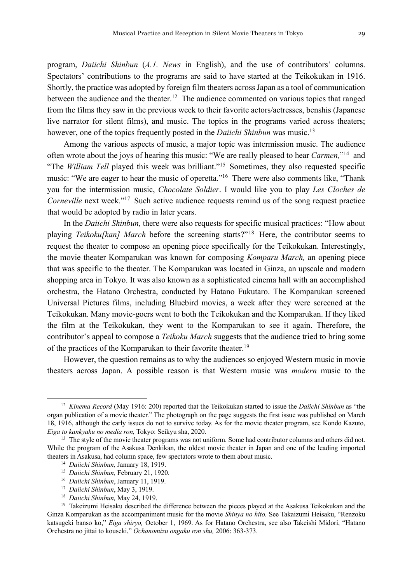program, *Daiichi Shinbun* (*A.1. News* in English), and the use of contributors' columns. Spectators' contributions to the programs are said to have started at the Teikokukan in 1916. Shortly, the practice was adopted by foreign film theaters across Japan as a tool of communication between the audience and the theater.<sup>12</sup> The audience commented on various topics that ranged from the films they saw in the previous week to their favorite actors/actresses, benshis (Japanese live narrator for silent films), and music. The topics in the programs varied across theaters; however, one of the topics frequently posted in the *Daiichi Shinbun* was music.13

 Among the various aspects of music, a major topic was intermission music. The audience often wrote about the joys of hearing this music: "We are really pleased to hear *Carmen,*"14 and "The *William Tell* played this week was brilliant."15 Sometimes, they also requested specific music: "We are eager to hear the music of operetta."<sup>16</sup> There were also comments like, "Thank you for the intermission music, *Chocolate Soldier*. I would like you to play *Les Cloches de Corneville* next week."<sup>17</sup> Such active audience requests remind us of the song request practice that would be adopted by radio in later years.

 In the *Daiichi Shinbun,* there were also requests for specific musical practices: "How about playing *Teikoku[kan] March* before the screening starts?"18 Here, the contributor seems to request the theater to compose an opening piece specifically for the Teikokukan. Interestingly, the movie theater Komparukan was known for composing *Komparu March,* an opening piece that was specific to the theater. The Komparukan was located in Ginza, an upscale and modern shopping area in Tokyo. It was also known as a sophisticated cinema hall with an accomplished orchestra, the Hatano Orchestra, conducted by Hatano Fukutaro. The Komparukan screened Universal Pictures films, including Bluebird movies, a week after they were screened at the Teikokukan. Many movie-goers went to both the Teikokukan and the Komparukan. If they liked the film at the Teikokukan, they went to the Komparukan to see it again. Therefore, the contributor's appeal to compose a *Teikoku March* suggests that the audience tried to bring some of the practices of the Komparukan to their favorite theater.<sup>19</sup>

 However, the question remains as to why the audiences so enjoyed Western music in movie theaters across Japan. A possible reason is that Western music was *modern* music to the

<sup>12</sup> *Kinema Record* (May 1916: 200) reported that the Teikokukan started to issue the *Daiichi Shinbun* as "the organ publication of a movie theater." The photograph on the page suggests the first issue was published on March 18, 1916, although the early issues do not to survive today. As for the movie theater program, see Kondo Kazuto, *Eiga to kankyaku no media ron,* Tokyo: Seikyu sha, 2020.

<sup>&</sup>lt;sup>13</sup> The style of the movie theater programs was not uniform. Some had contributor columns and others did not. While the program of the Asakusa Denkikan, the oldest movie theater in Japan and one of the leading imported theaters in Asakusa, had column space, few spectators wrote to them about music. 14 *Daiichi Shinbun,* January 18, 1919.

<sup>15</sup> *Daiichi Shinbun,* February 21, 1920.

<sup>16</sup> *Daiichi Shinbun*, January 11, 1919.

<sup>17</sup> *Daiichi Shinbun*, May 3, 1919.

<sup>18</sup> *Daiichi Shinbun,* May 24, 1919.

<sup>&</sup>lt;sup>19</sup> Takeizumi Heisaku described the difference between the pieces played at the Asakusa Teikokukan and the Ginza Komparukan as the accompaniment music for the movie *Shinya no hito.* See Takaizumi Heisaku, "Renzoku katsugeki banso ko," *Eiga shiryo,* October 1, 1969. As for Hatano Orchestra, see also Takeishi Midori, "Hatano Orchestra no jittai to kouseki," *Ochanomizu ongaku ron shu,* 2006: 363-373.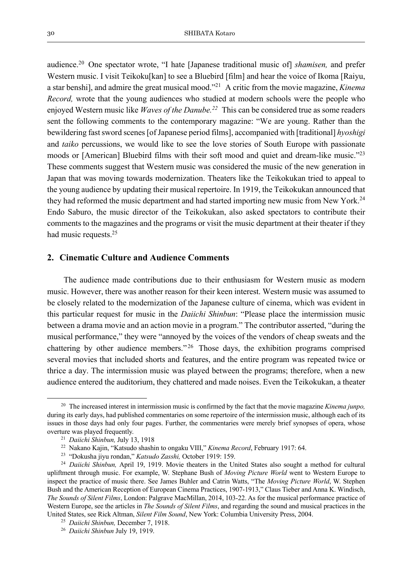audience.20 One spectator wrote, "I hate [Japanese traditional music of] *shamisen,* and prefer Western music. I visit Teikoku[kan] to see a Bluebird [film] and hear the voice of Ikoma [Raiyu, a star benshi], and admire the great musical mood."21 A critic from the movie magazine, *Kinema Record*, wrote that the young audiences who studied at modern schools were the people who enjoyed Western music like *Waves of the Danube.22* This can be considered true as some readers sent the following comments to the contemporary magazine: "We are young. Rather than the bewildering fast sword scenes [of Japanese period films], accompanied with [traditional] *hyoshigi*  and *taiko* percussions, we would like to see the love stories of South Europe with passionate moods or [American] Bluebird films with their soft mood and quiet and dream-like music."23 These comments suggest that Western music was considered the music of the new generation in Japan that was moving towards modernization. Theaters like the Teikokukan tried to appeal to the young audience by updating their musical repertoire. In 1919, the Teikokukan announced that they had reformed the music department and had started importing new music from New York.<sup>24</sup> Endo Saburo, the music director of the Teikokukan, also asked spectators to contribute their comments to the magazines and the programs or visit the music department at their theater if they had music requests.25

#### **2. Cinematic Culture and Audience Comments**

 The audience made contributions due to their enthusiasm for Western music as modern music. However, there was another reason for their keen interest. Western music was assumed to be closely related to the modernization of the Japanese culture of cinema, which was evident in this particular request for music in the *Daiichi Shinbun*: "Please place the intermission music between a drama movie and an action movie in a program." The contributor asserted, "during the musical performance," they were "annoyed by the voices of the vendors of cheap sweats and the chattering by other audience members."<sup>26</sup> Those days, the exhibition programs comprised several movies that included shorts and features, and the entire program was repeated twice or thrice a day. The intermission music was played between the programs; therefore, when a new audience entered the auditorium, they chattered and made noises. Even the Teikokukan, a theater

<sup>20</sup> The increased interest in intermission music is confirmed by the fact that the movie magazine *Kinema junpo,* during its early days, had published commentaries on some repertoire of the intermission music, although each of its issues in those days had only four pages. Further, the commentaries were merely brief synopses of opera, whose overture was played frequently.

<sup>21</sup> *Daiichi Shinbun,* July 13, 1918

<sup>22</sup> Nakano Kajin, "Katsudo shashin to ongaku VIII," *Kinema Record*, February 1917: 64. 23 "Dokusha jiyu rondan," *Katsudo Zasshi,* October 1919: 159.

<sup>&</sup>lt;sup>24</sup> *Daiichi Shinbun*, April 19, 1919. Movie theaters in the United States also sought a method for cultural upliftment through music. For example, W. Stephane Bush of *Moving Picture World* went to Western Europe to inspect the practice of music there. See James Buhler and Catrin Watts, "The *Moving Picture World*, W. Stephen Bush and the American Reception of European Cinema Practices, 1907-1913," Claus Tieber and Anna K. Windisch, *The Sounds of Silent Films*, London: Palgrave MacMillan, 2014, 103-22. As for the musical performance practice of Western Europe, see the articles in *The Sounds of Silent Films*, and regarding the sound and musical practices in the United States, see Rick Altman, *Silent Film Sound*, New York: Columbia University Press, 2004.

<sup>25</sup> *Daiichi Shinbun,* December 7, 1918.

<sup>26</sup> *Daiichi Shinbun* July 19, 1919.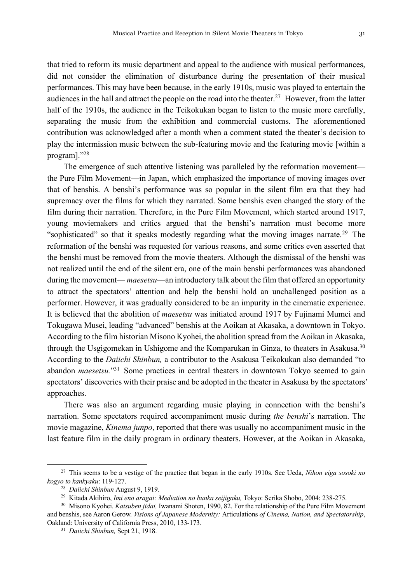that tried to reform its music department and appeal to the audience with musical performances, did not consider the elimination of disturbance during the presentation of their musical performances. This may have been because, in the early 1910s, music was played to entertain the audiences in the hall and attract the people on the road into the theater.<sup>27</sup> However, from the latter half of the 1910s, the audience in the Teikokukan began to listen to the music more carefully, separating the music from the exhibition and commercial customs. The aforementioned contribution was acknowledged after a month when a comment stated the theater's decision to play the intermission music between the sub-featuring movie and the featuring movie [within a program]."28

 The emergence of such attentive listening was paralleled by the reformation movement the Pure Film Movement—in Japan, which emphasized the importance of moving images over that of benshis. A benshi's performance was so popular in the silent film era that they had supremacy over the films for which they narrated. Some benshis even changed the story of the film during their narration. Therefore, in the Pure Film Movement, which started around 1917, young moviemakers and critics argued that the benshi's narration must become more "sophisticated" so that it speaks modestly regarding what the moving images narrate.<sup>29</sup> The reformation of the benshi was requested for various reasons, and some critics even asserted that the benshi must be removed from the movie theaters. Although the dismissal of the benshi was not realized until the end of the silent era, one of the main benshi performances was abandoned during the movement— *maesetsu*—an introductory talk about the film that offered an opportunity to attract the spectators' attention and help the benshi hold an unchallenged position as a performer. However, it was gradually considered to be an impurity in the cinematic experience. It is believed that the abolition of *maesetsu* was initiated around 1917 by Fujinami Mumei and Tokugawa Musei, leading "advanced" benshis at the Aoikan at Akasaka, a downtown in Tokyo. According to the film historian Misono Kyohei, the abolition spread from the Aoikan in Akasaka, through the Usgigomekan in Ushigome and the Komparukan in Ginza, to theaters in Asakusa.<sup>30</sup> According to the *Daiichi Shinbun,* a contributor to the Asakusa Teikokukan also demanded "to abandon *maesetsu.*"31 Some practices in central theaters in downtown Tokyo seemed to gain spectators' discoveries with their praise and be adopted in the theater in Asakusa by the spectators' approaches.

 There was also an argument regarding music playing in connection with the benshi's narration. Some spectators required accompaniment music during *the benshi*'s narration. The movie magazine, *Kinema junpo*, reported that there was usually no accompaniment music in the last feature film in the daily program in ordinary theaters. However, at the Aoikan in Akasaka,

<sup>27</sup> This seems to be a vestige of the practice that began in the early 1910s. See Ueda, *Nihon eiga sosoki no kogyo to kankyaku*: 119-127.

<sup>28</sup> *Daiichi Shinbun* August 9, 1919.

<sup>29</sup> Kitada Akihiro, *Imi eno aragai: Mediation no bunka seijigaku,* Tokyo: Serika Shobo, 2004: 238-275.

<sup>30</sup> Misono Kyohei. *Katsuben jidai,* Iwanami Shoten, 1990, 82. For the relationship of the Pure Film Movement and benshis, see Aaron Gerow. *Visions of Japanese Modernity:* Articulations *of Cinema, Nation, and Spectatorship*, Oakland: University of California Press, 2010, 133-173.

<sup>31</sup> *Daiichi Shinbun,* Sept 21, 1918.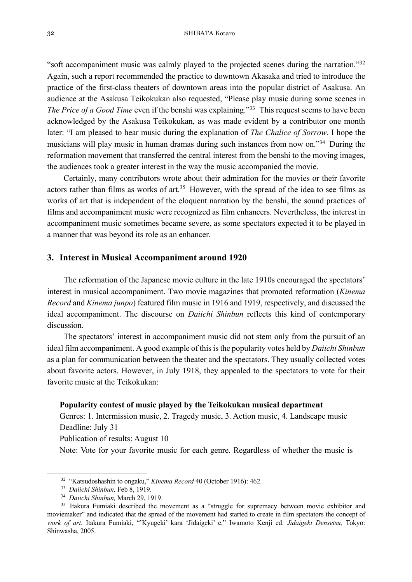"soft accompaniment music was calmly played to the projected scenes during the narration."32 Again, such a report recommended the practice to downtown Akasaka and tried to introduce the practice of the first-class theaters of downtown areas into the popular district of Asakusa. An audience at the Asakusa Teikokukan also requested, "Please play music during some scenes in *The Price of a Good Time* even if the benshi was explaining."<sup>33</sup> This request seems to have been acknowledged by the Asakusa Teikokukan, as was made evident by a contributor one month later: "I am pleased to hear music during the explanation of *The Chalice of Sorrow*. I hope the musicians will play music in human dramas during such instances from now on."34 During the reformation movement that transferred the central interest from the benshi to the moving images, the audiences took a greater interest in the way the music accompanied the movie.

 Certainly, many contributors wrote about their admiration for the movies or their favorite actors rather than films as works of art.<sup>35</sup> However, with the spread of the idea to see films as works of art that is independent of the eloquent narration by the benshi, the sound practices of films and accompaniment music were recognized as film enhancers. Nevertheless, the interest in accompaniment music sometimes became severe, as some spectators expected it to be played in a manner that was beyond its role as an enhancer.

#### **3. Interest in Musical Accompaniment around 1920**

 The reformation of the Japanese movie culture in the late 1910s encouraged the spectators' interest in musical accompaniment. Two movie magazines that promoted reformation (*Kinema Record* and *Kinema junpo*) featured film music in 1916 and 1919, respectively, and discussed the ideal accompaniment. The discourse on *Daiichi Shinbun* reflects this kind of contemporary discussion.

 The spectators' interest in accompaniment music did not stem only from the pursuit of an ideal film accompaniment. A good example of this is the popularity votes held by *Daiichi Shinbun* as a plan for communication between the theater and the spectators. They usually collected votes about favorite actors. However, in July 1918, they appealed to the spectators to vote for their favorite music at the Teikokukan:

#### **Popularity contest of music played by the Teikokukan musical department**

Genres: 1. Intermission music, 2. Tragedy music, 3. Action music, 4. Landscape music Deadline: July 31

Publication of results: August 10

Note: Vote for your favorite music for each genre. Regardless of whether the music is

<sup>32</sup> "Katsudoshashin to ongaku," *Kinema Record* 40 (October 1916): 462.

<sup>33</sup> *Daiichi Shinbun,* Feb 8, 1919.

<sup>34</sup> *Daiichi Shinbun,* March 29, 1919.

<sup>&</sup>lt;sup>35</sup> Itakura Fumiaki described the movement as a "struggle for supremacy between movie exhibitor and moviemaker" and indicated that the spread of the movement had started to create in film spectators the concept of *work of art*. Itakura Fumiaki, "'Kyugeki' kara 'Jidaigeki' e," Iwamoto Kenji ed. *Jidaigeki Densetsu,* Tokyo: Shinwasha, 2005.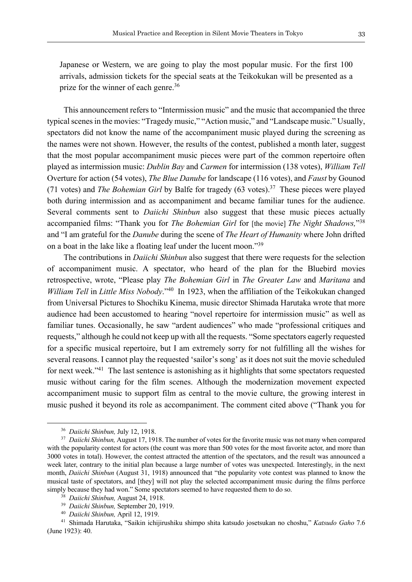Japanese or Western, we are going to play the most popular music. For the first 100 arrivals, admission tickets for the special seats at the Teikokukan will be presented as a prize for the winner of each genre.<sup>36</sup>

 This announcement refers to "Intermission music" and the music that accompanied the three typical scenes in the movies: "Tragedy music," "Action music," and "Landscape music." Usually, spectators did not know the name of the accompaniment music played during the screening as the names were not shown. However, the results of the contest, published a month later, suggest that the most popular accompaniment music pieces were part of the common repertoire often played as intermission music: *Dublin Bay* and *Carmen* for intermission (138 votes), *William Tell* Overture for action (54 votes), *The Blue Danube* for landscape (116 votes), and *Faust* by Gounod (71 votes) and *The Bohemian Girl* by Balfe for tragedy (63 votes).37 These pieces were played both during intermission and as accompaniment and became familiar tunes for the audience. Several comments sent to *Daiichi Shinbun* also suggest that these music pieces actually accompanied films: "Thank you for *The Bohemian Girl* for [the movie] *The Night Shadows,*"38 and "I am grateful for the *Danube* during the scene of *The Heart of Humanity* where John drifted on a boat in the lake like a floating leaf under the lucent moon."39

 The contributions in *Daiichi Shinbun* also suggest that there were requests for the selection of accompaniment music. A spectator, who heard of the plan for the Bluebird movies retrospective, wrote, "Please play *The Bohemian Girl* in *The Greater Law* and *Maritana* and *William Tell* in *Little Miss Nobody*."40 In 1923, when the affiliation of the Teikokukan changed from Universal Pictures to Shochiku Kinema, music director Shimada Harutaka wrote that more audience had been accustomed to hearing "novel repertoire for intermission music" as well as familiar tunes. Occasionally, he saw "ardent audiences" who made "professional critiques and requests," although he could not keep up with all the requests. "Some spectators eagerly requested for a specific musical repertoire, but I am extremely sorry for not fulfilling all the wishes for several reasons. I cannot play the requested 'sailor's song' as it does not suit the movie scheduled for next week."41 The last sentence is astonishing as it highlights that some spectators requested music without caring for the film scenes. Although the modernization movement expected accompaniment music to support film as central to the movie culture, the growing interest in music pushed it beyond its role as accompaniment. The comment cited above ("Thank you for

<sup>36</sup> *Daiichi Shinbun,* July 12, 1918.

<sup>&</sup>lt;sup>37</sup> Daiichi Shinbun, August 17, 1918. The number of votes for the favorite music was not many when compared with the popularity contest for actors (the count was more than 500 votes for the most favorite actor, and more than 3000 votes in total). However, the contest attracted the attention of the spectators, and the result was announced a week later, contrary to the initial plan because a large number of votes was unexpected. Interestingly, in the next month, *Daiichi Shinbun* (August 31, 1918) announced that "the popularity vote contest was planned to know the musical taste of spectators, and [they] will not play the selected accompaniment music during the films perforce simply because they had won." Some spectators seemed to have requested them to do so.

<sup>38</sup> *Daiichi Shinbun,* August 24, 1918.

<sup>39</sup> *Daiichi Shinbun,* September 20, 1919.

<sup>40</sup> *Daiichi Shinbun,* April 12, 1919.

<sup>41</sup> Shimada Harutaka, "Saikin ichijirushiku shimpo shita katsudo josetsukan no choshu," *Katsudo Gaho* 7.6 (June 1923): 40.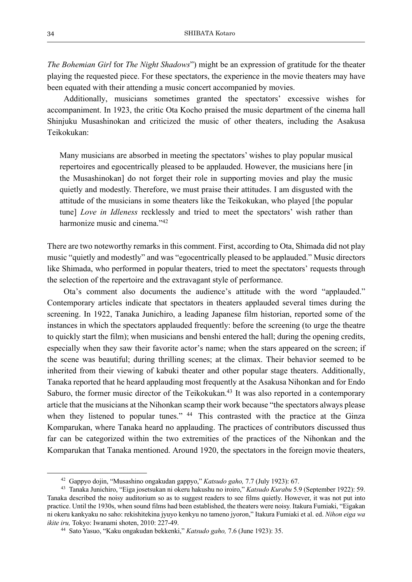*The Bohemian Girl* for *The Night Shadows*") might be an expression of gratitude for the theater playing the requested piece. For these spectators, the experience in the movie theaters may have been equated with their attending a music concert accompanied by movies.

 Additionally, musicians sometimes granted the spectators' excessive wishes for accompaniment. In 1923, the critic Ota Kocho praised the music department of the cinema hall Shinjuku Musashinokan and criticized the music of other theaters, including the Asakusa Teikokukan:

Many musicians are absorbed in meeting the spectators' wishes to play popular musical repertoires and egocentrically pleased to be applauded. However, the musicians here [in the Musashinokan] do not forget their role in supporting movies and play the music quietly and modestly. Therefore, we must praise their attitudes. I am disgusted with the attitude of the musicians in some theaters like the Teikokukan, who played [the popular tune] *Love in Idleness* recklessly and tried to meet the spectators' wish rather than harmonize music and cinema."<sup>42</sup>

There are two noteworthy remarks in this comment. First, according to Ota, Shimada did not play music "quietly and modestly" and was "egocentrically pleased to be applauded." Music directors like Shimada, who performed in popular theaters, tried to meet the spectators' requests through the selection of the repertoire and the extravagant style of performance.

 Ota's comment also documents the audience's attitude with the word "applauded." Contemporary articles indicate that spectators in theaters applauded several times during the screening. In 1922, Tanaka Junichiro, a leading Japanese film historian, reported some of the instances in which the spectators applauded frequently: before the screening (to urge the theatre to quickly start the film); when musicians and benshi entered the hall; during the opening credits, especially when they saw their favorite actor's name; when the stars appeared on the screen; if the scene was beautiful; during thrilling scenes; at the climax. Their behavior seemed to be inherited from their viewing of kabuki theater and other popular stage theaters. Additionally, Tanaka reported that he heard applauding most frequently at the Asakusa Nihonkan and for Endo Saburo, the former music director of the Teikokukan.<sup>43</sup> It was also reported in a contemporary article that the musicians at the Nihonkan scamp their work because "the spectators always please when they listened to popular tunes." <sup>44</sup> This contrasted with the practice at the Ginza Komparukan, where Tanaka heard no applauding. The practices of contributors discussed thus far can be categorized within the two extremities of the practices of the Nihonkan and the Komparukan that Tanaka mentioned. Around 1920, the spectators in the foreign movie theaters,

<sup>42</sup> Gappyo dojin, "Musashino ongakudan gappyo," *Katsudo gaho,* 7.7 (July 1923): 67.

<sup>43</sup> Tanaka Junichiro, "Eiga josetsukan ni okeru hakushu no iroiro," *Katsudo Kurabu* 5.9 (September 1922): 59. Tanaka described the noisy auditorium so as to suggest readers to see films quietly. However, it was not put into practice. Until the 1930s, when sound films had been established, the theaters were noisy. Itakura Fumiaki, "Eigakan ni okeru kankyaku no saho: rekishitekina jyuyo kenkyu no tameno jyoron," Itakura Fumiaki et al. ed. *Nihon eiga wa ikite iru,* Tokyo: Iwanami shoten, 2010: 227-49.

<sup>44</sup> Sato Yasuo, "Kaku ongakudan bekkenki," *Katsudo gaho,* 7.6 (June 1923): 35.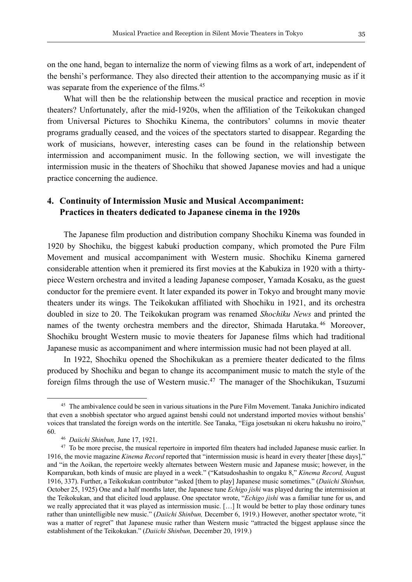on the one hand, began to internalize the norm of viewing films as a work of art, independent of the benshi's performance. They also directed their attention to the accompanying music as if it was separate from the experience of the films.<sup>45</sup>

 What will then be the relationship between the musical practice and reception in movie theaters? Unfortunately, after the mid-1920s, when the affiliation of the Teikokukan changed from Universal Pictures to Shochiku Kinema, the contributors' columns in movie theater programs gradually ceased, and the voices of the spectators started to disappear. Regarding the work of musicians, however, interesting cases can be found in the relationship between intermission and accompaniment music. In the following section, we will investigate the intermission music in the theaters of Shochiku that showed Japanese movies and had a unique practice concerning the audience.

# **4. Continuity of Intermission Music and Musical Accompaniment: Practices in theaters dedicated to Japanese cinema in the 1920s**

 The Japanese film production and distribution company Shochiku Kinema was founded in 1920 by Shochiku, the biggest kabuki production company, which promoted the Pure Film Movement and musical accompaniment with Western music. Shochiku Kinema garnered considerable attention when it premiered its first movies at the Kabukiza in 1920 with a thirtypiece Western orchestra and invited a leading Japanese composer, Yamada Kosaku, as the guest conductor for the premiere event. It later expanded its power in Tokyo and brought many movie theaters under its wings. The Teikokukan affiliated with Shochiku in 1921, and its orchestra doubled in size to 20. The Teikokukan program was renamed *Shochiku News* and printed the names of the twenty orchestra members and the director, Shimada Harutaka.<sup>46</sup> Moreover, Shochiku brought Western music to movie theaters for Japanese films which had traditional Japanese music as accompaniment and where intermission music had not been played at all.

 In 1922, Shochiku opened the Shochikukan as a premiere theater dedicated to the films produced by Shochiku and began to change its accompaniment music to match the style of the foreign films through the use of Western music.47 The manager of the Shochikukan, Tsuzumi

<sup>&</sup>lt;sup>45</sup> The ambivalence could be seen in various situations in the Pure Film Movement. Tanaka Junichiro indicated that even a snobbish spectator who argued against benshi could not understand imported movies without benshis' voices that translated the foreign words on the intertitle. See Tanaka, "Eiga josetsukan ni okeru hakushu no iroiro," 60.

<sup>46</sup> *Daiichi Shinbun,* June 17, 1921.

<sup>&</sup>lt;sup>47</sup> To be more precise, the musical repertoire in imported film theaters had included Japanese music earlier. In 1916, the movie magazine *Kinema Record* reported that "intermission music is heard in every theater [these days]," and "in the Aoikan, the repertoire weekly alternates between Western music and Japanese music; however, in the Komparukan, both kinds of music are played in a week." ("Katsudoshashin to ongaku 8," *Kinema Record,* August 1916, 337). Further, a Teikokukan contributor "asked [them to play] Japanese music sometimes." (*Daiichi Shinbun,*  October 25, 1925) One and a half months later, the Japanese tune *Echigo jishi* was played during the intermission at the Teikokukan, and that elicited loud applause. One spectator wrote, "*Echigo jishi* was a familiar tune for us, and we really appreciated that it was played as intermission music. […] It would be better to play those ordinary tunes rather than unintelligible new music." (*Daiichi Shinbun,* December 6, 1919.) However, another spectator wrote, "it was a matter of regret" that Japanese music rather than Western music "attracted the biggest applause since the establishment of the Teikokukan." (*Daiichi Shinbun,* December 20, 1919.)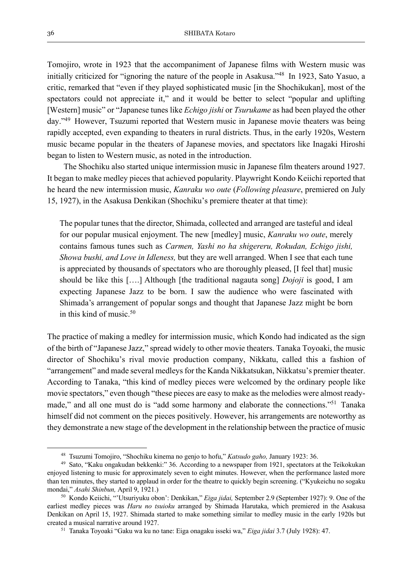Tomojiro, wrote in 1923 that the accompaniment of Japanese films with Western music was initially criticized for "ignoring the nature of the people in Asakusa."48 In 1923, Sato Yasuo, a critic, remarked that "even if they played sophisticated music [in the Shochikukan], most of the spectators could not appreciate it," and it would be better to select "popular and uplifting [Western] music" or "Japanese tunes like *Echigo jishi* or *Tsurukame* as had been played the other day."49 However, Tsuzumi reported that Western music in Japanese movie theaters was being rapidly accepted, even expanding to theaters in rural districts. Thus, in the early 1920s, Western music became popular in the theaters of Japanese movies, and spectators like Inagaki Hiroshi began to listen to Western music, as noted in the introduction.

 The Shochiku also started unique intermission music in Japanese film theaters around 1927. It began to make medley pieces that achieved popularity. Playwright Kondo Keiichi reported that he heard the new intermission music, *Kanraku wo oute* (*Following pleasure*, premiered on July 15, 1927), in the Asakusa Denkikan (Shochiku's premiere theater at that time):

The popular tunes that the director, Shimada, collected and arranged are tasteful and ideal for our popular musical enjoyment. The new [medley] music, *Kanraku wo oute*, merely contains famous tunes such as *Carmen, Yashi no ha shigereru, Rokudan, Echigo jishi, Showa bushi, and Love in Idleness,* but they are well arranged. When I see that each tune is appreciated by thousands of spectators who are thoroughly pleased, [I feel that] music should be like this [….] Although [the traditional nagauta song] *Dojoji* is good, I am expecting Japanese Jazz to be born. I saw the audience who were fascinated with Shimada's arrangement of popular songs and thought that Japanese Jazz might be born in this kind of music.50

The practice of making a medley for intermission music, which Kondo had indicated as the sign of the birth of "Japanese Jazz," spread widely to other movie theaters. Tanaka Toyoaki, the music director of Shochiku's rival movie production company, Nikkatu, called this a fashion of "arrangement" and made several medleys for the Kanda Nikkatsukan, Nikkatsu's premier theater. According to Tanaka, "this kind of medley pieces were welcomed by the ordinary people like movie spectators," even though "these pieces are easy to make as the melodies were almost readymade," and all one must do is "add some harmony and elaborate the connections."<sup>51</sup> Tanaka himself did not comment on the pieces positively. However, his arrangements are noteworthy as they demonstrate a new stage of the development in the relationship between the practice of music

<sup>48</sup> Tsuzumi Tomojiro, "Shochiku kinema no genjo to hofu," *Katsudo gaho,* January 1923: 36.

<sup>49</sup> Sato, "Kaku ongakudan bekkenki:" 36. According to a newspaper from 1921, spectators at the Teikokukan enjoyed listening to music for approximately seven to eight minutes. However, when the performance lasted more than ten minutes, they started to applaud in order for the theatre to quickly begin screening. ("Kyukeichu no sogaku mondai," *Asahi Shinbun,* April 9, 1921.) 50 Kondo Keiichi, "'Utsuriyuku obon': Denkikan," *Eiga jidai,* September 2.9 (September 1927): 9. One of the

earliest medley pieces was *Haru no tsuioku* arranged by Shimada Harutaka, which premiered in the Asakusa Denkikan on April 15, 1927. Shimada started to make something similar to medley music in the early 1920s but created a musical narrative around 1927. 51 Tanaka Toyoaki "Gaku wa ku no tane: Eiga onagaku isseki wa," *Eiga jidai* 3.7 (July 1928): 47.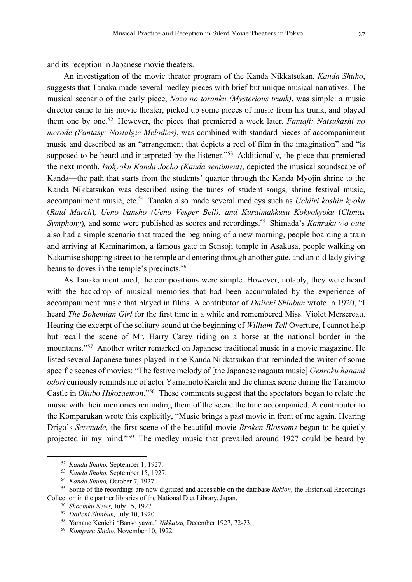and its reception in Japanese movie theaters.

 An investigation of the movie theater program of the Kanda Nikkatsukan, *Kanda Shuho*, suggests that Tanaka made several medley pieces with brief but unique musical narratives. The musical scenario of the early piece, *Nazo no toranku (Mysterious trunk)*, was simple: a music director came to his movie theater, picked up some pieces of music from his trunk, and played them one by one.52 However, the piece that premiered a week later, *Fantaji: Natsukashi no merode (Fantasy: Nostalgic Melodies)*, was combined with standard pieces of accompaniment music and described as an "arrangement that depicts a reel of film in the imagination" and "is supposed to be heard and interpreted by the listener."<sup>53</sup> Additionally, the piece that premiered the next month, *Isokyoku Kanda Jocho (Kanda sentiment)*, depicted the musical soundscape of Kanda—the path that starts from the students' quarter through the Kanda Myojin shrine to the Kanda Nikkatsukan was described using the tunes of student songs, shrine festival music, accompaniment music, etc.54 Tanaka also made several medleys such as *Uchiiri koshin kyoku* (*Raid March*)*, Ueno bansho (Ueno Vesper Bell), and Kuraimakkusu Kokyokyoku* (*Climax Symphony*), and some were published as scores and recordings.<sup>55</sup> Shimada's *Kanraku wo oute* also had a simple scenario that traced the beginning of a new morning, people boarding a train and arriving at Kaminarimon, a famous gate in Sensoji temple in Asakusa, people walking on Nakamise shopping street to the temple and entering through another gate, and an old lady giving beans to doves in the temple's precincts.<sup>56</sup>

 As Tanaka mentioned, the compositions were simple. However, notably, they were heard with the backdrop of musical memories that had been accumulated by the experience of accompaniment music that played in films. A contributor of *Daiichi Shinbun* wrote in 1920, "I heard *The Bohemian Girl* for the first time in a while and remembered Miss. Violet Mersereau. Hearing the excerpt of the solitary sound at the beginning of *William Tell* Overture, I cannot help but recall the scene of Mr. Harry Carey riding on a horse at the national border in the mountains."57 Another writer remarked on Japanese traditional music in a movie magazine. He listed several Japanese tunes played in the Kanda Nikkatsukan that reminded the writer of some specific scenes of movies: "The festive melody of [the Japanese nagauta music] *Genroku hanami odori* curiously reminds me of actor Yamamoto Kaichi and the climax scene during the Tarainoto Castle in *Okubo Hikozaemon*."58 These comments suggest that the spectators began to relate the music with their memories reminding them of the scene the tune accompanied. A contributor to the Komparukan wrote this explicitly, "Music brings a past movie in front of me again. Hearing Drigo's *Serenade,* the first scene of the beautiful movie *Broken Blossoms* began to be quietly projected in my mind*.*"59 The medley music that prevailed around 1927 could be heard by

<sup>52</sup> *Kanda Shuho.* September 1, 1927.

<sup>53</sup> *Kanda Shuho.* September 15, 1927.

<sup>54</sup> *Kanda Shuho,* October 7, 1927.

<sup>55</sup> Some of the recordings are now digitized and accessible on the database *Rekion*, the Historical Recordings Collection in the partner libraries of the National Diet Library, Japan. 56 *Shochiku News,* July 15, 1927.

<sup>57</sup> *Daiichi Shinbun,* July 10, 1920.

<sup>58</sup> Yamane Kenichi "Banso yawa," *Nikkatsu,* December 1927, 72-73.

<sup>59</sup> *Komparu Shuho*, November 10, 1922.